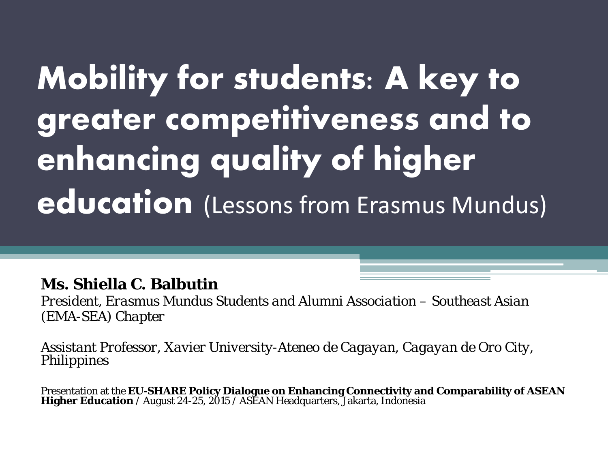# **Mobility for students: A key to greater competitiveness and to enhancing quality of higher education** (Lessons from Erasmus Mundus)

#### **Ms. Shiella C. Balbutin**

*President, Erasmus Mundus Students and Alumni Association – Southeast Asian (EMA-SEA) Chapter* 

*Assistant Professor, Xavier University-Ateneo de Cagayan, Cagayan de Oro City, Philippines* 

Presentation at the **EU-SHARE Policy Dialogue on Enhancing Connectivity and Comparability of ASEAN Higher Education / August 24-25, 2015 / ASEAN Headquarters, Jakarta, Indonesia**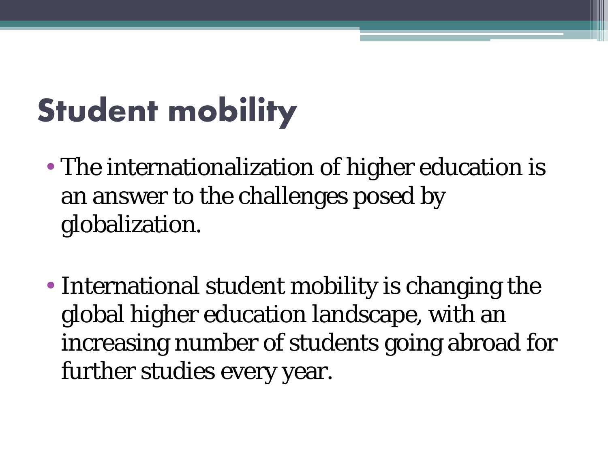# **Student mobility**

- The internationalization of higher education is an answer to the challenges posed by globalization.
- International student mobility is changing the global higher education landscape, with an increasing number of students going abroad for further studies every year.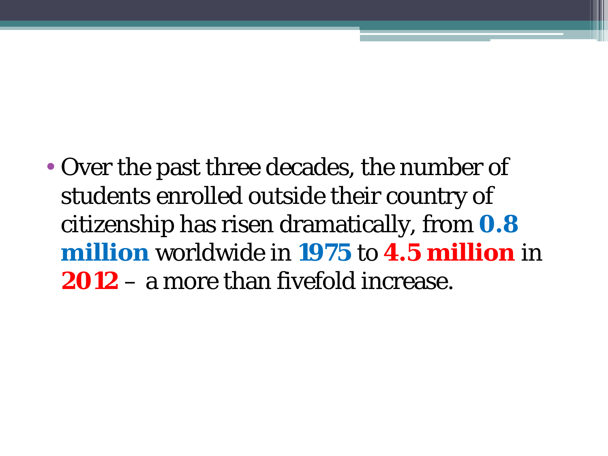• Over the past three decades, the number of students enrolled outside their country of citizenship has risen dramatically, from **0.8 million** worldwide in **1975** to **4.5 million** in **2012** – a more than fivefold increase.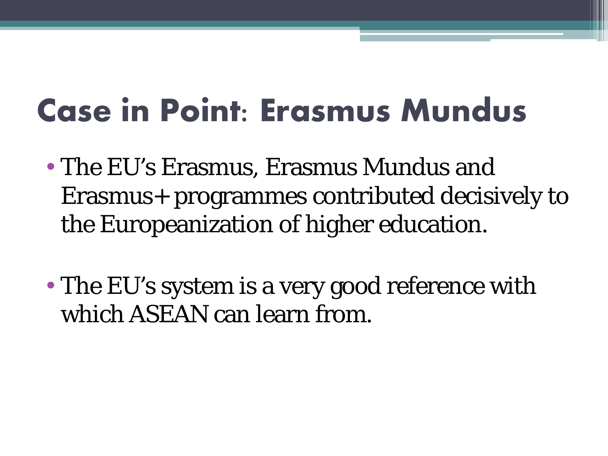## **Case in Point: Erasmus Mundus**

- The EU's Erasmus, Erasmus Mundus and Erasmus+ programmes contributed decisively to the Europeanization of higher education.
- The EU's system is a very good reference with which ASEAN can learn from.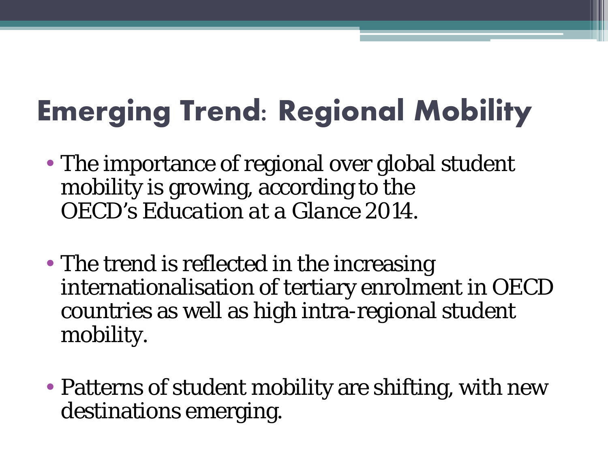### **Emerging Trend: Regional Mobility**

- The importance of regional over global student mobility is growing, according to the OECD's *Education at a Glance 2014*.
- The trend is reflected in the increasing internationalisation of tertiary enrolment in OECD countries as well as high intra-regional student mobility.
- Patterns of student mobility are shifting, with new destinations emerging.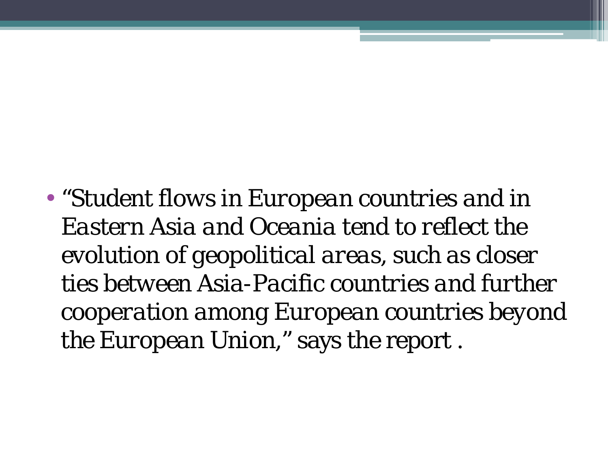• "*Student flows in European countries and in Eastern Asia and Oceania tend to reflect the evolution of geopolitical areas, such as closer ties between Asia-Pacific countries and further cooperation among European countries beyond the European Union*," says the report .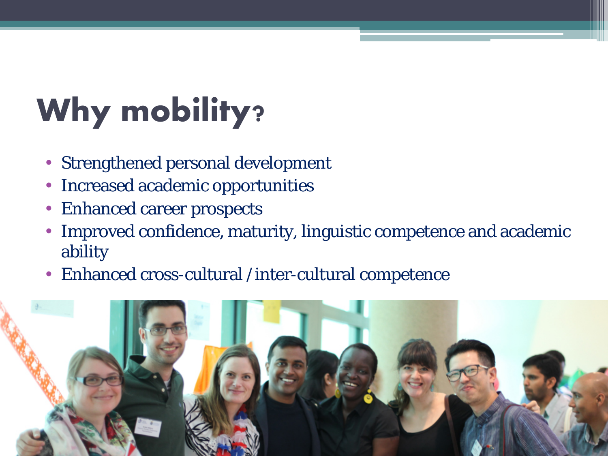# **Why mobility?**

- Strengthened personal development
- Increased academic opportunities
- Enhanced career prospects
- Improved confidence, maturity, linguistic competence and academic ability
- Enhanced cross-cultural /inter-cultural competence

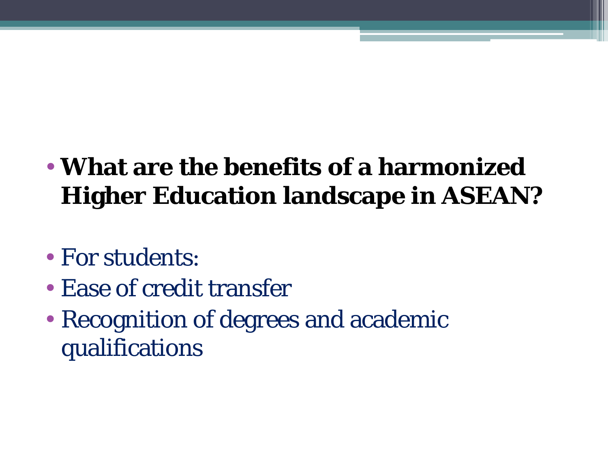#### • **What are the benefits of a harmonized Higher Education landscape in ASEAN?**

- For students:
- Ease of credit transfer
- Recognition of degrees and academic qualifications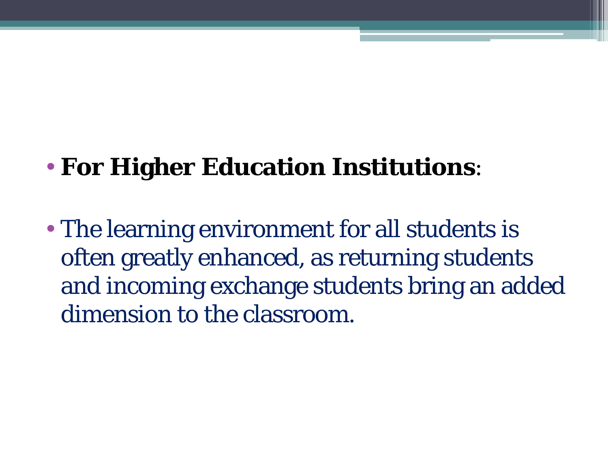#### • **For Higher Education Institutions**:

• The learning environment for all students is often greatly enhanced, as returning students and incoming exchange students bring an added dimension to the classroom.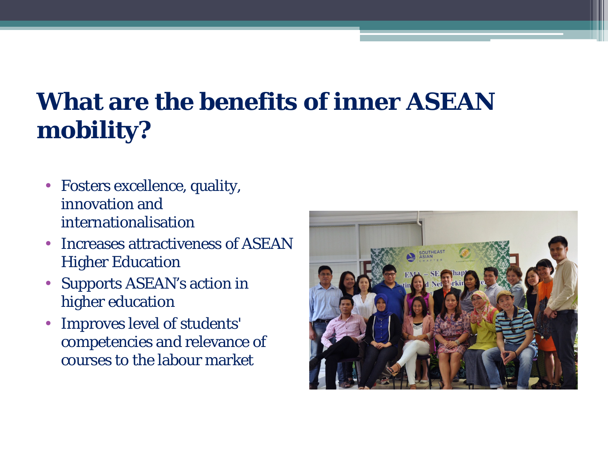#### **What are the benefits of inner ASEAN mobility?**

- Fosters excellence, quality, innovation and internationalisation
- Increases attractiveness of ASEAN Higher Education
- Supports ASEAN's action in higher education
- Improves level of students' competencies and relevance of courses to the labour market

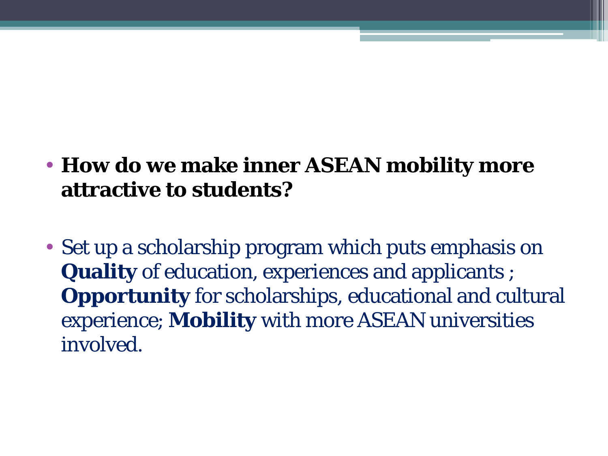- **How do we make inner ASEAN mobility more attractive to students?**
- Set up a scholarship program which puts emphasis on **Quality** of education, experiences and applicants ; **Opportunity** for scholarships, educational and cultural experience; **Mobility** with more ASEAN universities involved.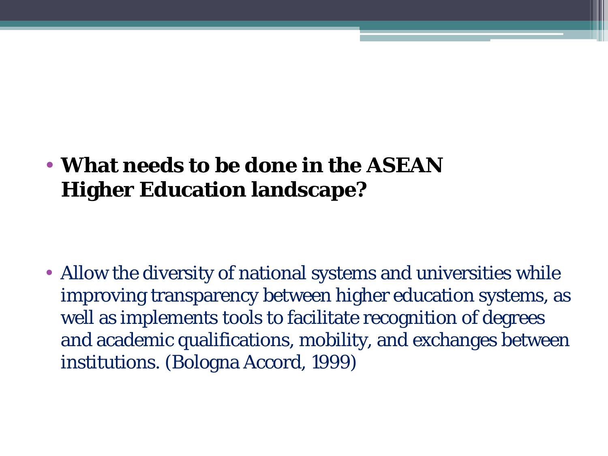#### • **What needs to be done in the ASEAN Higher Education landscape?**

• Allow the diversity of national systems and universities while improving transparency between higher education systems, as well as implements tools to facilitate recognition of degrees and academic qualifications, mobility, and exchanges between institutions. (Bologna Accord, 1999)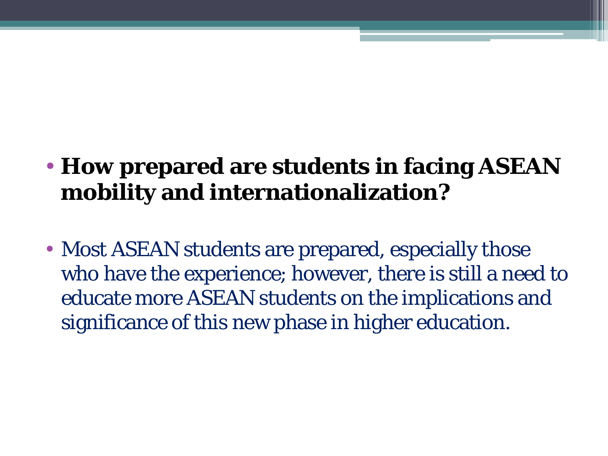#### • **How prepared are students in facing ASEAN mobility and internationalization?**

• Most ASEAN students are prepared, especially those who have the experience; however, there is still a need to educate more ASEAN students on the implications and significance of this new phase in higher education.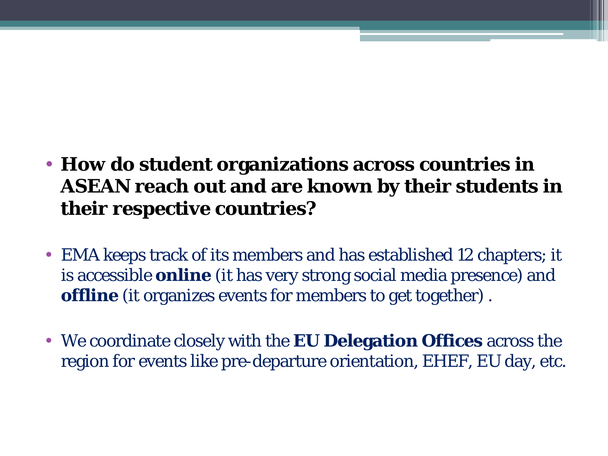- **How do student organizations across countries in ASEAN reach out and are known by their students in their respective countries?**
- EMA keeps track of its members and has established 12 chapters; it is accessible **online** (it has very strong social media presence) and **offline** (it organizes events for members to get together) .
- We coordinate closely with the **EU Delegation Offices** across the region for events like pre-departure orientation, EHEF, EU day, etc.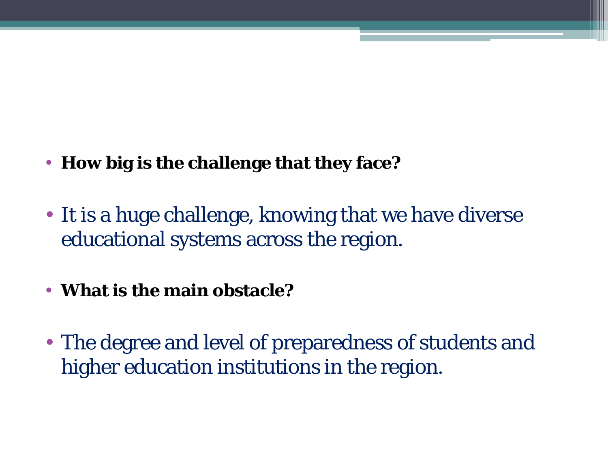- **How big is the challenge that they face?**
- It is a huge challenge, knowing that we have diverse educational systems across the region.
- **What is the main obstacle?**
- The degree and level of preparedness of students and higher education institutions in the region.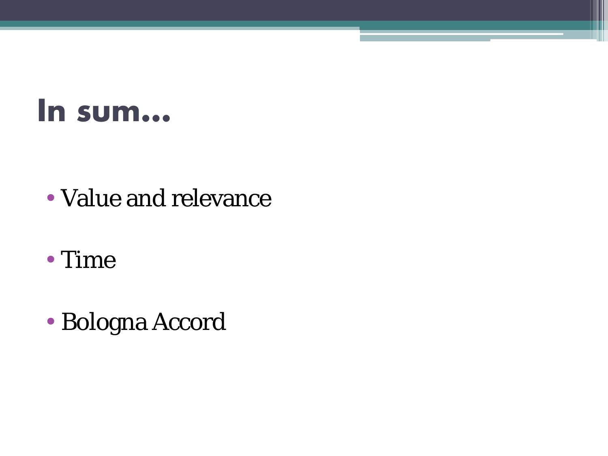### **In sum…**

- Value and relevance
- Time
- Bologna Accord